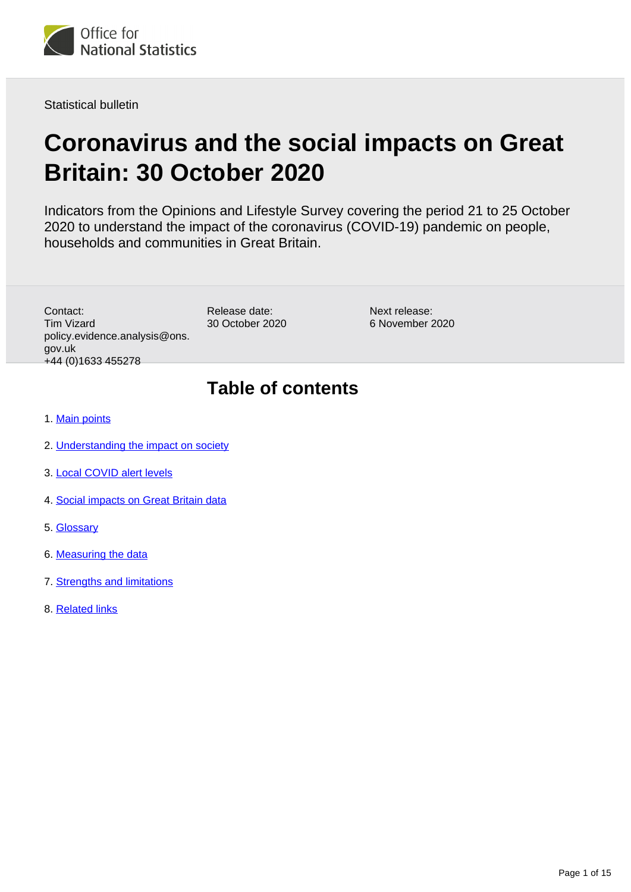

Statistical bulletin

# **Coronavirus and the social impacts on Great Britain: 30 October 2020**

Indicators from the Opinions and Lifestyle Survey covering the period 21 to 25 October 2020 to understand the impact of the coronavirus (COVID-19) pandemic on people, households and communities in Great Britain.

Contact: Tim Vizard policy.evidence.analysis@ons. gov.uk +44 (0)1633 455278

Release date: 30 October 2020

Next release: 6 November 2020

# **Table of contents**

- 1. [Main points](#page-1-0)
- 2. [Understanding the impact on society](#page-1-1)
- 3. [Local COVID alert levels](#page-2-0)
- 4. [Social impacts on Great Britain data](#page-11-0)
- 5. [Glossary](#page-11-1)
- 6. [Measuring the data](#page-12-0)
- 7. [Strengths and limitations](#page-13-0)
- 8. [Related links](#page-14-0)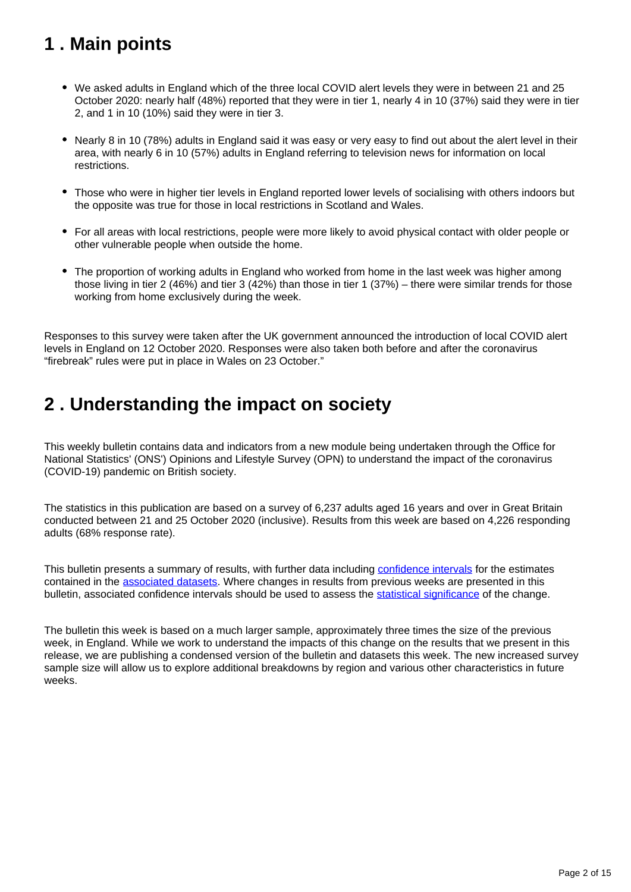# <span id="page-1-0"></span>**1 . Main points**

- We asked adults in England which of the three local COVID alert levels they were in between 21 and 25 October 2020: nearly half (48%) reported that they were in tier 1, nearly 4 in 10 (37%) said they were in tier 2, and 1 in 10 (10%) said they were in tier 3.
- Nearly 8 in 10 (78%) adults in England said it was easy or very easy to find out about the alert level in their area, with nearly 6 in 10 (57%) adults in England referring to television news for information on local restrictions.
- Those who were in higher tier levels in England reported lower levels of socialising with others indoors but the opposite was true for those in local restrictions in Scotland and Wales.
- For all areas with local restrictions, people were more likely to avoid physical contact with older people or other vulnerable people when outside the home.
- The proportion of working adults in England who worked from home in the last week was higher among those living in tier 2 (46%) and tier 3 (42%) than those in tier 1 (37%) – there were similar trends for those working from home exclusively during the week.

Responses to this survey were taken after the UK government announced the introduction of local COVID alert levels in England on 12 October 2020. Responses were also taken both before and after the coronavirus "firebreak" rules were put in place in Wales on 23 October."

# <span id="page-1-1"></span>**2 . Understanding the impact on society**

This weekly bulletin contains data and indicators from a new module being undertaken through the Office for National Statistics' (ONS') Opinions and Lifestyle Survey (OPN) to understand the impact of the coronavirus (COVID-19) pandemic on British society.

The statistics in this publication are based on a survey of 6,237 adults aged 16 years and over in Great Britain conducted between 21 and 25 October 2020 (inclusive). Results from this week are based on 4,226 responding adults (68% response rate).

This bulletin presents a summary of results, with further data including [confidence intervals](https://www.ons.gov.uk/methodology/methodologytopicsandstatisticalconcepts/uncertaintyandhowwemeasureit#confidence-interval) for the estimates contained in the [associated datasets](https://www.ons.gov.uk/peoplepopulationandcommunity/healthandsocialcare/healthandwellbeing/bulletins/coronavirusandthesocialimpactsongreatbritain/30october2020/relateddata). Where changes in results from previous weeks are presented in this bulletin, associated confidence intervals should be used to assess the [statistical significance](https://www.ons.gov.uk/methodology/methodologytopicsandstatisticalconcepts/uncertaintyandhowwemeasureit#statistical-significance) of the change.

The bulletin this week is based on a much larger sample, approximately three times the size of the previous week, in England. While we work to understand the impacts of this change on the results that we present in this release, we are publishing a condensed version of the bulletin and datasets this week. The new increased survey sample size will allow us to explore additional breakdowns by region and various other characteristics in future weeks.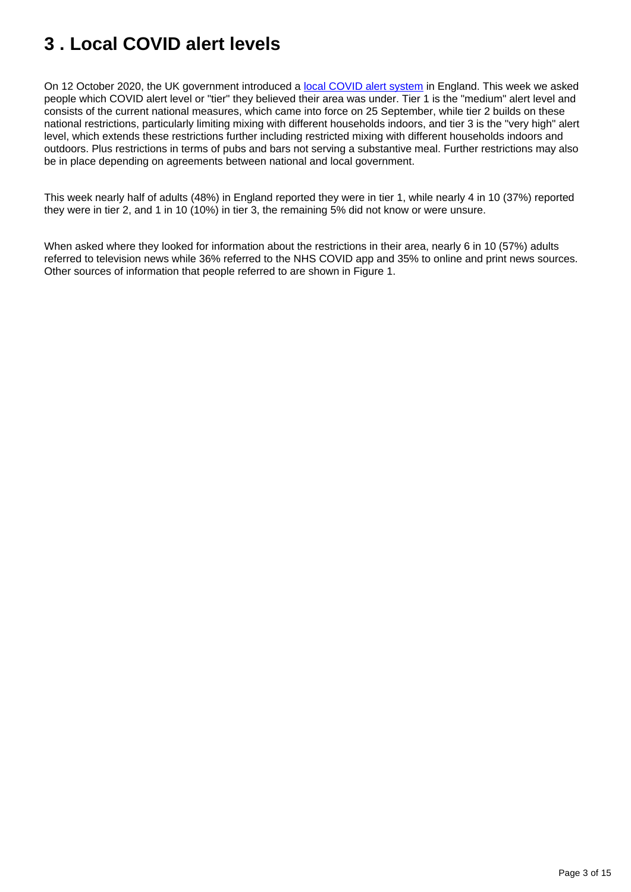# <span id="page-2-0"></span>**3 . Local COVID alert levels**

On 12 October 2020, the UK government introduced a [local COVID alert system](https://www.gov.uk/government/news/prime-minister-announces-new-local-covid-alert-levels) in England. This week we asked people which COVID alert level or "tier" they believed their area was under. Tier 1 is the "medium" alert level and consists of the current national measures, which came into force on 25 September, while tier 2 builds on these national restrictions, particularly limiting mixing with different households indoors, and tier 3 is the "very high" alert level, which extends these restrictions further including restricted mixing with different households indoors and outdoors. Plus restrictions in terms of pubs and bars not serving a substantive meal. Further restrictions may also be in place depending on agreements between national and local government.

This week nearly half of adults (48%) in England reported they were in tier 1, while nearly 4 in 10 (37%) reported they were in tier 2, and 1 in 10 (10%) in tier 3, the remaining 5% did not know or were unsure.

When asked where they looked for information about the restrictions in their area, nearly 6 in 10 (57%) adults referred to television news while 36% referred to the NHS COVID app and 35% to online and print news sources. Other sources of information that people referred to are shown in Figure 1.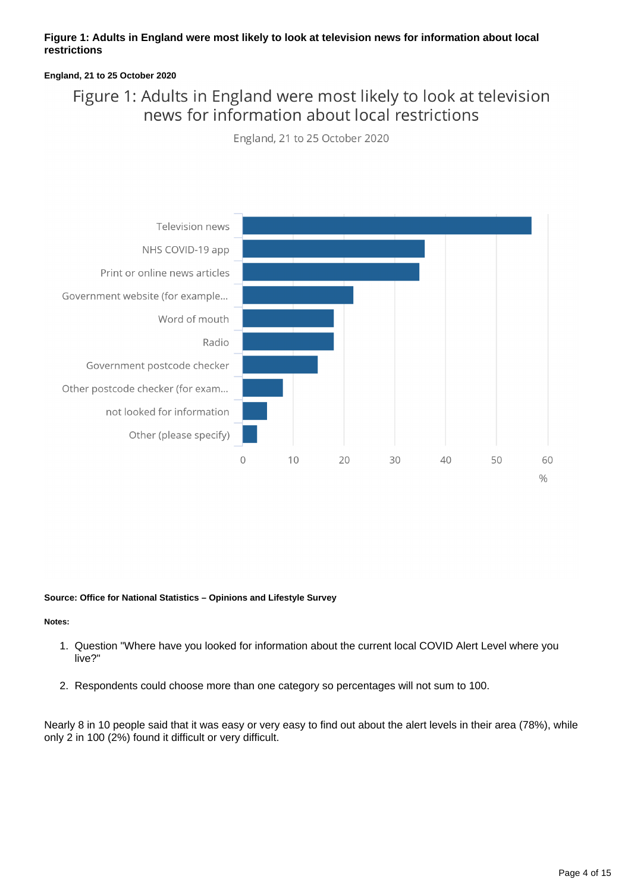#### **Figure 1: Adults in England were most likely to look at television news for information about local restrictions**

#### **England, 21 to 25 October 2020**

## Figure 1: Adults in England were most likely to look at television news for information about local restrictions

England, 21 to 25 October 2020



#### **Source: Office for National Statistics – Opinions and Lifestyle Survey**

#### **Notes:**

- 1. Question "Where have you looked for information about the current local COVID Alert Level where you live?"
- 2. Respondents could choose more than one category so percentages will not sum to 100.

Nearly 8 in 10 people said that it was easy or very easy to find out about the alert levels in their area (78%), while only 2 in 100 (2%) found it difficult or very difficult.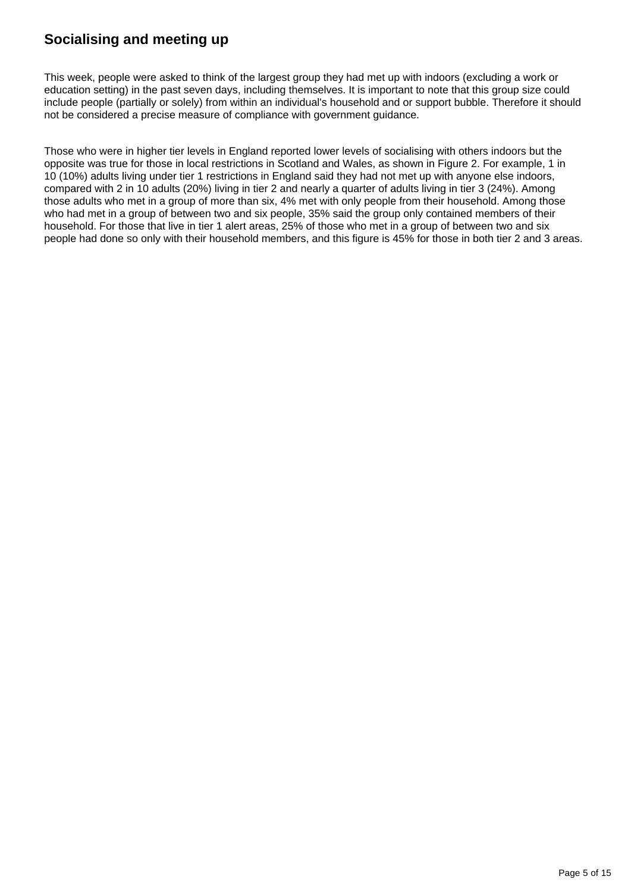## **Socialising and meeting up**

This week, people were asked to think of the largest group they had met up with indoors (excluding a work or education setting) in the past seven days, including themselves. It is important to note that this group size could include people (partially or solely) from within an individual's household and or support bubble. Therefore it should not be considered a precise measure of compliance with government guidance.

Those who were in higher tier levels in England reported lower levels of socialising with others indoors but the opposite was true for those in local restrictions in Scotland and Wales, as shown in Figure 2. For example, 1 in 10 (10%) adults living under tier 1 restrictions in England said they had not met up with anyone else indoors, compared with 2 in 10 adults (20%) living in tier 2 and nearly a quarter of adults living in tier 3 (24%). Among those adults who met in a group of more than six, 4% met with only people from their household. Among those who had met in a group of between two and six people, 35% said the group only contained members of their household. For those that live in tier 1 alert areas, 25% of those who met in a group of between two and six people had done so only with their household members, and this figure is 45% for those in both tier 2 and 3 areas.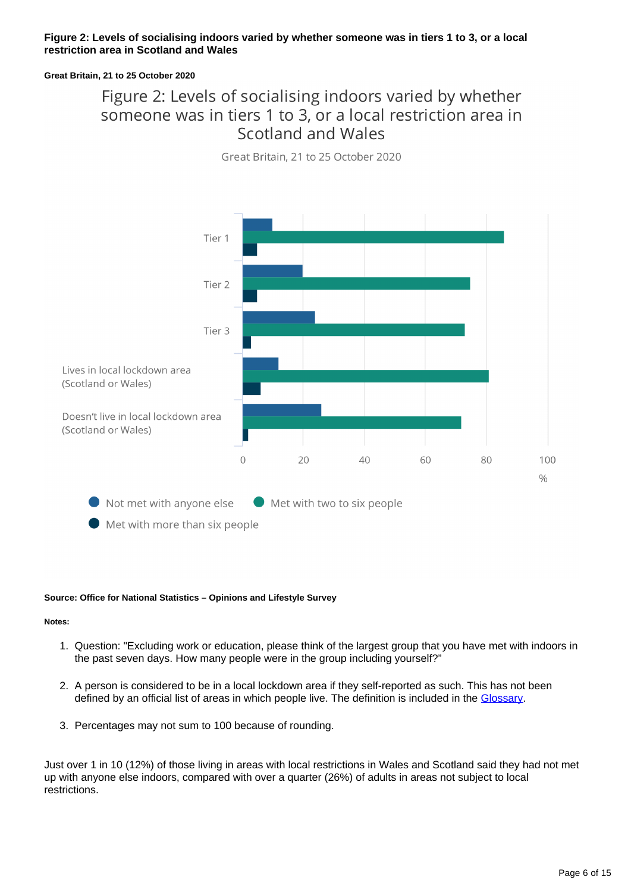#### **Figure 2: Levels of socialising indoors varied by whether someone was in tiers 1 to 3, or a local restriction area in Scotland and Wales**

#### **Great Britain, 21 to 25 October 2020**

## Figure 2: Levels of socialising indoors varied by whether someone was in tiers 1 to 3, or a local restriction area in Scotland and Wales



Great Britain, 21 to 25 October 2020

#### **Source: Office for National Statistics – Opinions and Lifestyle Survey**

#### **Notes:**

- 1. Question: "Excluding work or education, please think of the largest group that you have met with indoors in the past seven days. How many people were in the group including yourself?"
- 2. A person is considered to be in a local lockdown area if they self-reported as such. This has not been defined by an official list of areas in which people live. The definition is included in the [Glossary.](https://www.ons.gov.uk/peoplepopulationandcommunity/healthandsocialcare/healthandwellbeing/bulletins/coronavirusandthesocialimpactsongreatbritain/30october2020#glossary)
- 3. Percentages may not sum to 100 because of rounding.

Just over 1 in 10 (12%) of those living in areas with local restrictions in Wales and Scotland said they had not met up with anyone else indoors, compared with over a quarter (26%) of adults in areas not subject to local restrictions.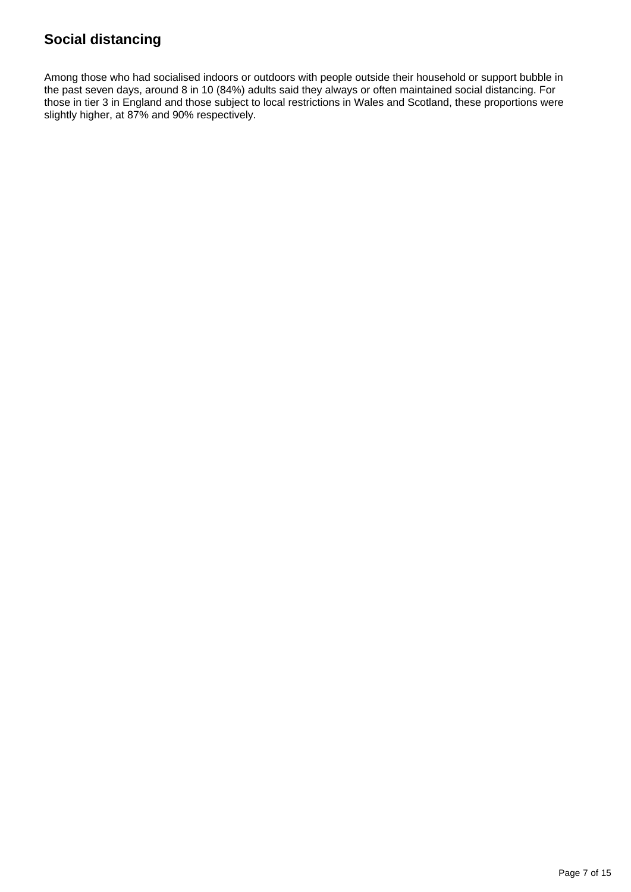## **Social distancing**

Among those who had socialised indoors or outdoors with people outside their household or support bubble in the past seven days, around 8 in 10 (84%) adults said they always or often maintained social distancing. For those in tier 3 in England and those subject to local restrictions in Wales and Scotland, these proportions were slightly higher, at 87% and 90% respectively.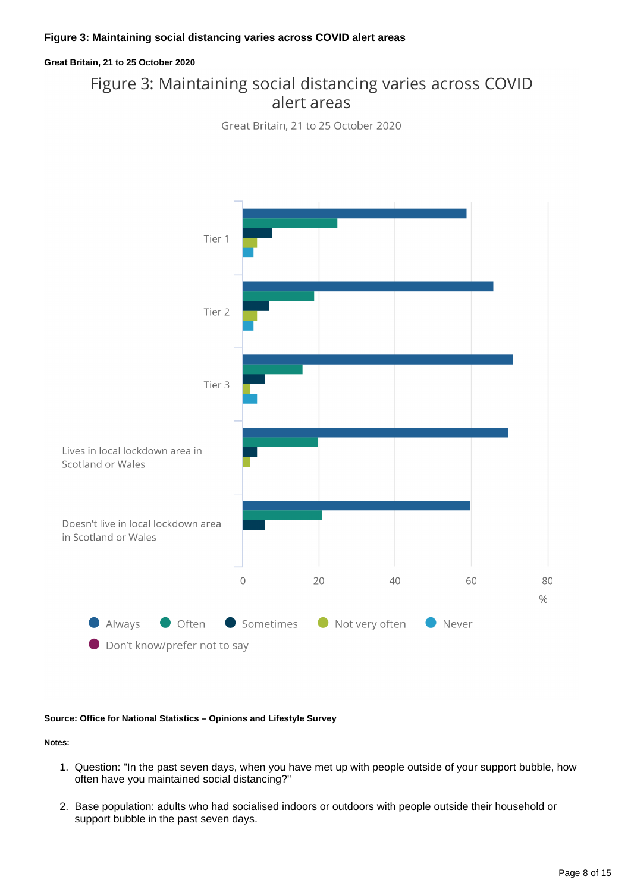#### **Great Britain, 21 to 25 October 2020**

## Figure 3: Maintaining social distancing varies across COVID alert areas

Great Britain, 21 to 25 October 2020



#### **Source: Office for National Statistics – Opinions and Lifestyle Survey**

**Notes:**

- 1. Question: "In the past seven days, when you have met up with people outside of your support bubble, how often have you maintained social distancing?"
- 2. Base population: adults who had socialised indoors or outdoors with people outside their household or support bubble in the past seven days.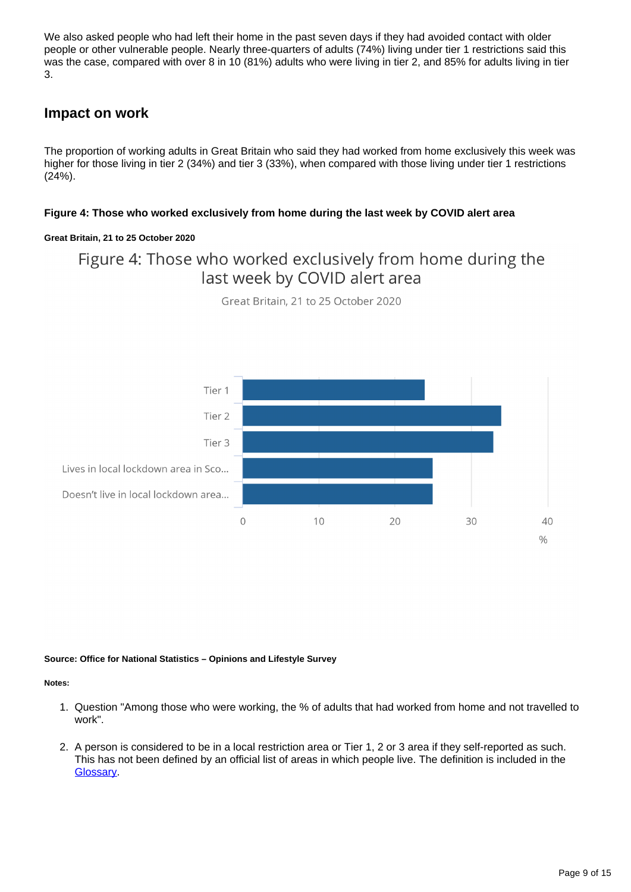We also asked people who had left their home in the past seven days if they had avoided contact with older people or other vulnerable people. Nearly three-quarters of adults (74%) living under tier 1 restrictions said this was the case, compared with over 8 in 10 (81%) adults who were living in tier 2, and 85% for adults living in tier 3.

### **Impact on work**

The proportion of working adults in Great Britain who said they had worked from home exclusively this week was higher for those living in tier 2 (34%) and tier 3 (33%), when compared with those living under tier 1 restrictions (24%).

#### **Figure 4: Those who worked exclusively from home during the last week by COVID alert area**

#### **Great Britain, 21 to 25 October 2020**

## Figure 4: Those who worked exclusively from home during the last week by COVID alert area



Great Britain, 21 to 25 October 2020

#### **Source: Office for National Statistics – Opinions and Lifestyle Survey**

#### **Notes:**

- 1. Question "Among those who were working, the % of adults that had worked from home and not travelled to work".
- 2. A person is considered to be in a local restriction area or Tier 1, 2 or 3 area if they self-reported as such. This has not been defined by an official list of areas in which people live. The definition is included in the [Glossary](https://www.ons.gov.uk/peoplepopulationandcommunity/healthandsocialcare/healthandwellbeing/bulletins/coronavirusandthesocialimpactsongreatbritain/30october2020#glossary).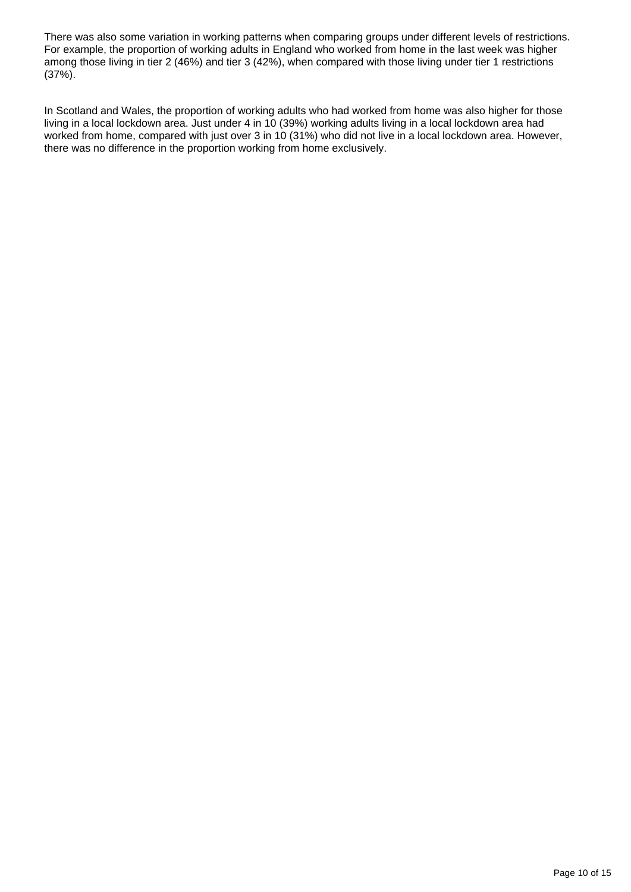There was also some variation in working patterns when comparing groups under different levels of restrictions. For example, the proportion of working adults in England who worked from home in the last week was higher among those living in tier 2 (46%) and tier 3 (42%), when compared with those living under tier 1 restrictions (37%).

In Scotland and Wales, the proportion of working adults who had worked from home was also higher for those living in a local lockdown area. Just under 4 in 10 (39%) working adults living in a local lockdown area had worked from home, compared with just over 3 in 10 (31%) who did not live in a local lockdown area. However, there was no difference in the proportion working from home exclusively.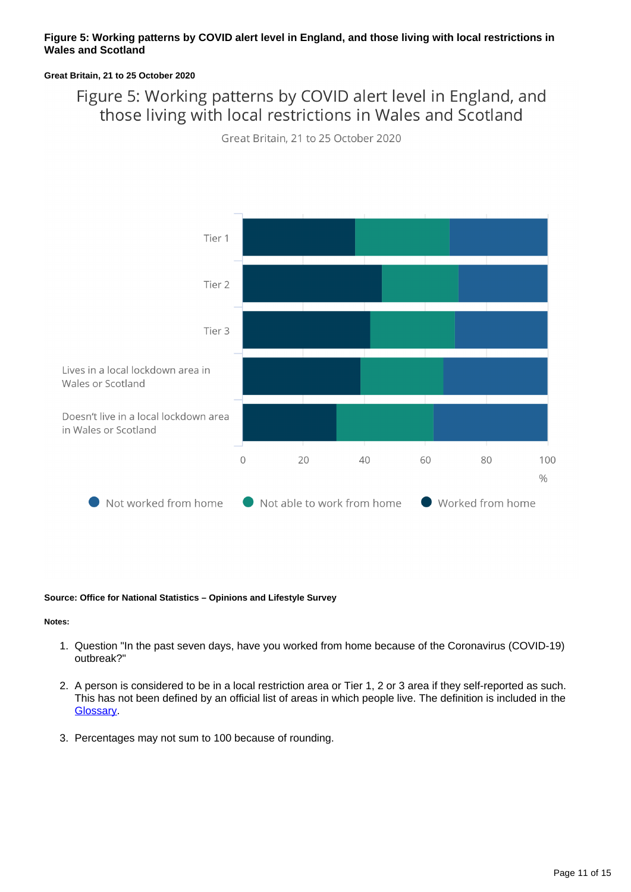#### **Figure 5: Working patterns by COVID alert level in England, and those living with local restrictions in Wales and Scotland**

#### **Great Britain, 21 to 25 October 2020**

## Figure 5: Working patterns by COVID alert level in England, and those living with local restrictions in Wales and Scotland

Great Britain, 21 to 25 October 2020



#### **Source: Office for National Statistics – Opinions and Lifestyle Survey**

#### **Notes:**

- 1. Question "In the past seven days, have you worked from home because of the Coronavirus (COVID-19) outbreak?"
- 2. A person is considered to be in a local restriction area or Tier 1, 2 or 3 area if they self-reported as such. This has not been defined by an official list of areas in which people live. The definition is included in the [Glossary](https://www.ons.gov.uk/peoplepopulationandcommunity/healthandsocialcare/healthandwellbeing/bulletins/coronavirusandthesocialimpactsongreatbritain/30october2020#glossary).
- 3. Percentages may not sum to 100 because of rounding.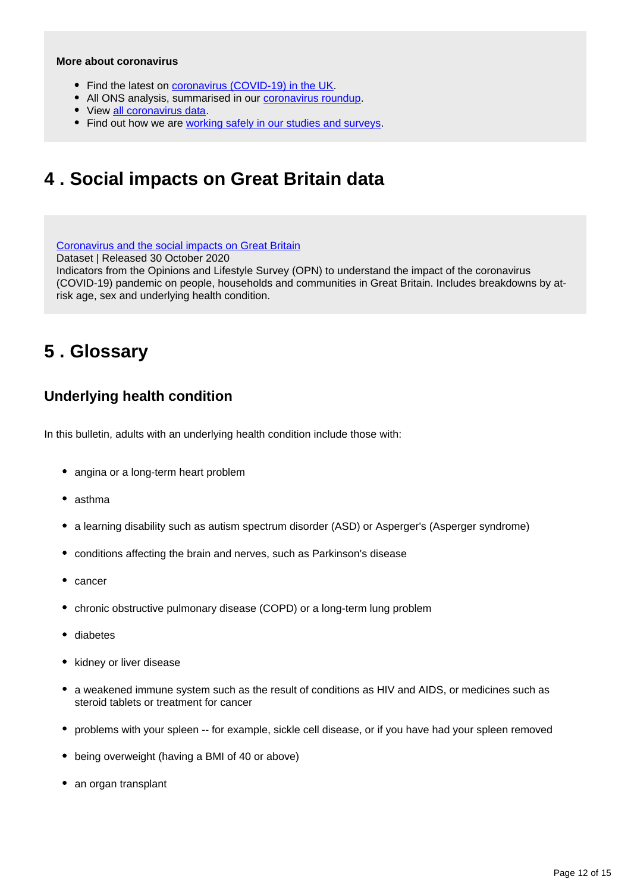#### **More about coronavirus**

- Find the latest on [coronavirus \(COVID-19\) in the UK.](https://www.ons.gov.uk/peoplepopulationandcommunity/healthandsocialcare/conditionsanddiseases)
- All ONS analysis, summarised in our [coronavirus roundup.](https://www.ons.gov.uk/peoplepopulationandcommunity/healthandsocialcare/conditionsanddiseases/articles/coronaviruscovid19roundup/latest)
- View [all coronavirus data](https://www.ons.gov.uk/peoplepopulationandcommunity/healthandsocialcare/conditionsanddiseases/datalist).
- Find out how we are [working safely in our studies and surveys.](https://www.ons.gov.uk/news/statementsandletters/ensuringyoursafetyduringcovid19)

## <span id="page-11-0"></span>**4 . Social impacts on Great Britain data**

[Coronavirus and the social impacts on Great Britain](https://www.ons.gov.uk/peoplepopulationandcommunity/healthandsocialcare/healthandwellbeing/datasets/coronavirusandthesocialimpactsongreatbritaindata) Dataset | Released 30 October 2020 Indicators from the Opinions and Lifestyle Survey (OPN) to understand the impact of the coronavirus (COVID-19) pandemic on people, households and communities in Great Britain. Includes breakdowns by atrisk age, sex and underlying health condition.

# <span id="page-11-1"></span>**5 . Glossary**

### **Underlying health condition**

In this bulletin, adults with an underlying health condition include those with:

- angina or a long-term heart problem
- asthma
- a learning disability such as autism spectrum disorder (ASD) or Asperger's (Asperger syndrome)
- conditions affecting the brain and nerves, such as Parkinson's disease
- cancer
- chronic obstructive pulmonary disease (COPD) or a long-term lung problem
- diabetes
- kidney or liver disease
- a weakened immune system such as the result of conditions as HIV and AIDS, or medicines such as steroid tablets or treatment for cancer
- problems with your spleen -- for example, sickle cell disease, or if you have had your spleen removed
- being overweight (having a BMI of 40 or above)
- an organ transplant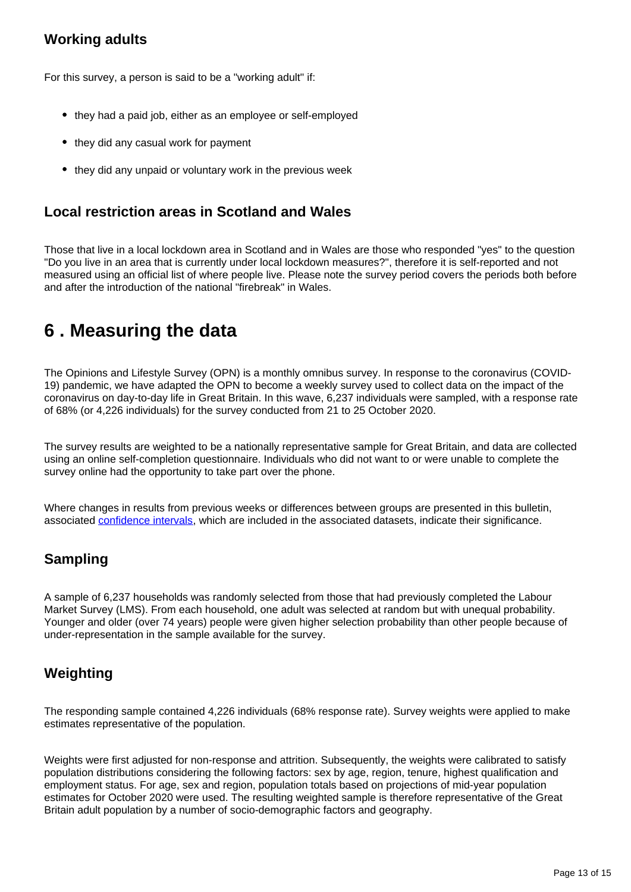## **Working adults**

For this survey, a person is said to be a "working adult" if:

- they had a paid job, either as an employee or self-employed
- they did any casual work for payment
- they did any unpaid or voluntary work in the previous week

### **Local restriction areas in Scotland and Wales**

Those that live in a local lockdown area in Scotland and in Wales are those who responded "yes" to the question "Do you live in an area that is currently under local lockdown measures?", therefore it is self-reported and not measured using an official list of where people live. Please note the survey period covers the periods both before and after the introduction of the national "firebreak" in Wales.

# <span id="page-12-0"></span>**6 . Measuring the data**

The Opinions and Lifestyle Survey (OPN) is a monthly omnibus survey. In response to the coronavirus (COVID-19) pandemic, we have adapted the OPN to become a weekly survey used to collect data on the impact of the coronavirus on day-to-day life in Great Britain. In this wave, 6,237 individuals were sampled, with a response rate of 68% (or 4,226 individuals) for the survey conducted from 21 to 25 October 2020.

The survey results are weighted to be a nationally representative sample for Great Britain, and data are collected using an online self-completion questionnaire. Individuals who did not want to or were unable to complete the survey online had the opportunity to take part over the phone.

Where changes in results from previous weeks or differences between groups are presented in this bulletin, associated [confidence intervals](https://www.ons.gov.uk/methodology/methodologytopicsandstatisticalconcepts/uncertaintyandhowwemeasureit#confidence-interval), which are included in the associated datasets, indicate their significance.

## **Sampling**

A sample of 6,237 households was randomly selected from those that had previously completed the Labour Market Survey (LMS). From each household, one adult was selected at random but with unequal probability. Younger and older (over 74 years) people were given higher selection probability than other people because of under-representation in the sample available for the survey.

## **Weighting**

The responding sample contained 4,226 individuals (68% response rate). Survey weights were applied to make estimates representative of the population.

Weights were first adjusted for non-response and attrition. Subsequently, the weights were calibrated to satisfy population distributions considering the following factors: sex by age, region, tenure, highest qualification and employment status. For age, sex and region, population totals based on projections of mid-year population estimates for October 2020 were used. The resulting weighted sample is therefore representative of the Great Britain adult population by a number of socio-demographic factors and geography.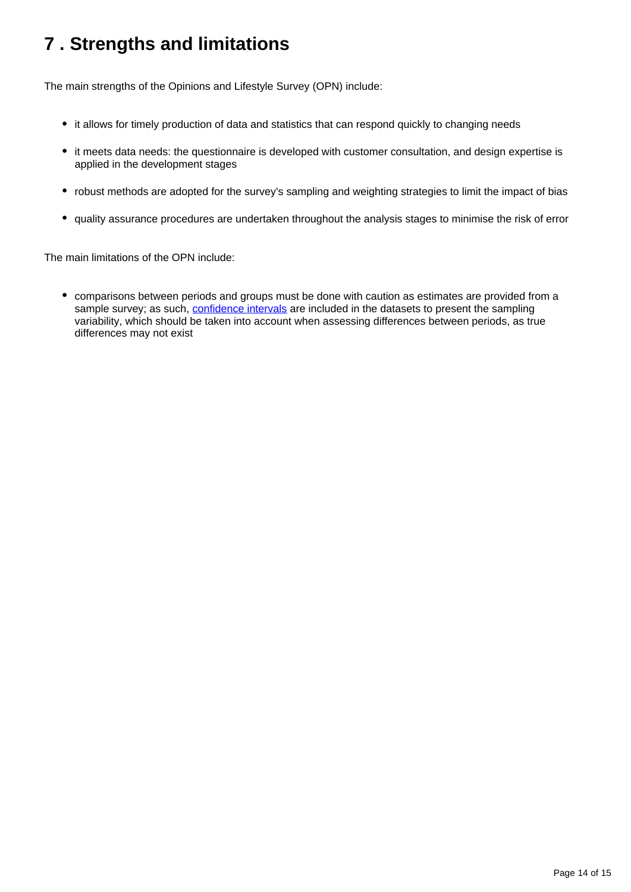# <span id="page-13-0"></span>**7 . Strengths and limitations**

The main strengths of the Opinions and Lifestyle Survey (OPN) include:

- it allows for timely production of data and statistics that can respond quickly to changing needs
- it meets data needs: the questionnaire is developed with customer consultation, and design expertise is applied in the development stages
- robust methods are adopted for the survey's sampling and weighting strategies to limit the impact of bias
- quality assurance procedures are undertaken throughout the analysis stages to minimise the risk of error

The main limitations of the OPN include:

comparisons between periods and groups must be done with caution as estimates are provided from a sample survey; as such, [confidence intervals](https://www.ons.gov.uk/methodology/methodologytopicsandstatisticalconcepts/uncertaintyandhowwemeasureit#confidence-interval) are included in the datasets to present the sampling variability, which should be taken into account when assessing differences between periods, as true differences may not exist